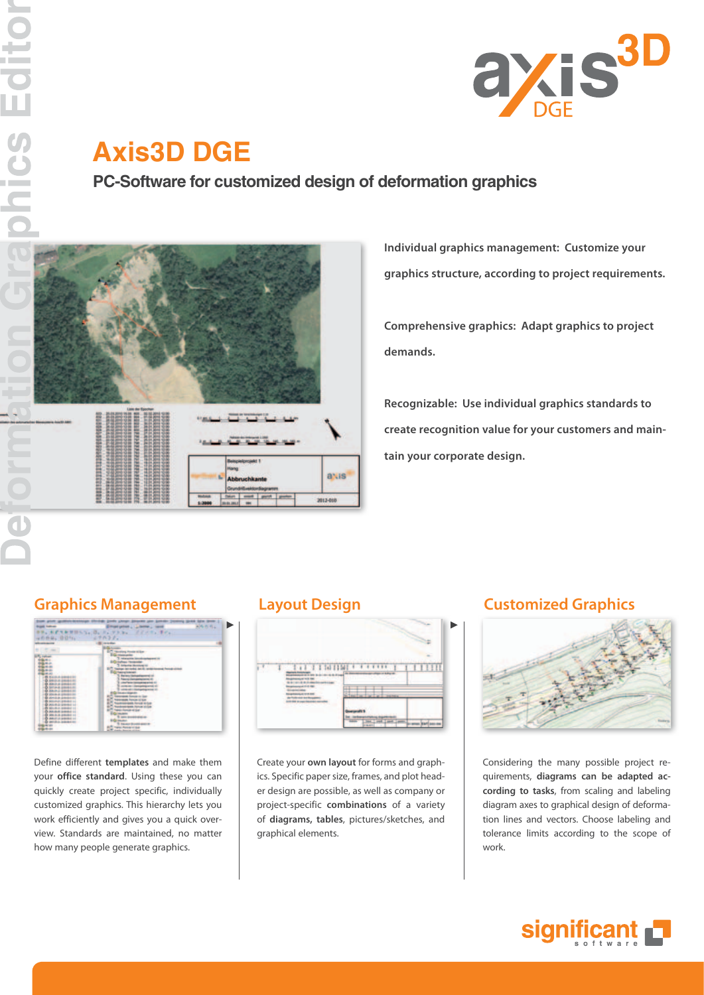

# **Axis3D DGE**

**PC-Software for customized design of deformation graphics**



**Individual graphics management: Customize your graphics structure, according to project requirements.**

**Comprehensive graphics: Adapt graphics to project demands.**

**Recognizable: Use individual graphics standards to create recognition value for your customers and maintain your corporate design.**

## **Graphics Management Layout Design Customized Graphics**



Define different **templates** and make them your **office standard**. Using these you can quickly create project specific, individually customized graphics. This hierarchy lets you work efficiently and gives you a quick overview. Standards are maintained, no matter how many people generate graphics.



Create your **own layout** for forms and graphics. Specific paper size, frames, and plot header design are possible, as well as company or project-specific **combinations** of a variety of **diagrams, tables**, pictures/sketches, and graphical elements.



Considering the many possible project requirements, **diagrams can be adapted according to tasks**, from scaling and labeling diagram axes to graphical design of deformation lines and vectors. Choose labeling and tolerance limits according to the scope of work.